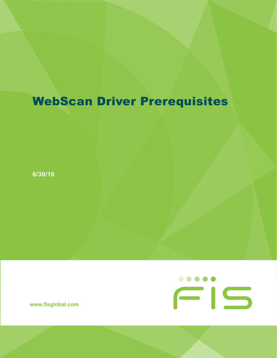## WebScan Driver Prerequisites

**6/30/16**

**www.fisglobal.com**

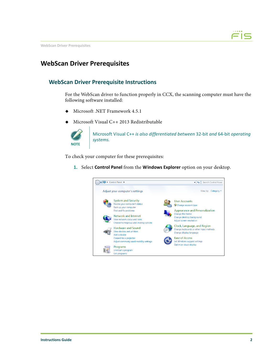

**WebScan Driver Prerequisites**

## **WebScan Driver Prerequisites**

## **WebScan Driver Prerequisite Instructions**

For the WebScan driver to function properly in CCX, the scanning computer must have the following software installed:

- ◆ Microsoft .NET Framework 4.5.1
- Microsoft Visual C++ 2013 Redistributable



Microsoft Visual C++ *is also differentiated between* 32‐bit *and* 64‐bit *operating systems.*

To check your computer for these prerequisites:

**1.** Select **Control Panel** from the **Windows Explorer** option on your desktop.

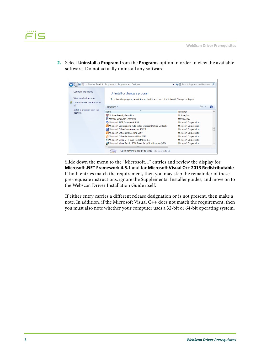**2.** Select **Uninstall a Program** from the **Programs** option in order to view the available software. Do not actually uninstall any software.



Slide down the menu to the "Microsoft…" entries and review the display for **Microsoft .NET Framework 4.5.1** and for **Microsoft Visual C++ 2013 Redistributable**. If both entries match the requirement, then you may skip the remainder of these pre-requisite instructions, ignore the Supplemental Installer guides, and move on to the Webscan Driver Installation Guide itself.

If either entry carries a different release designation or is not present, then make a note. In addition, if the Microsoft Visual C++ does not match the requirement, then you must also note whether your computer uses a 32-bit or 64-bit operating system.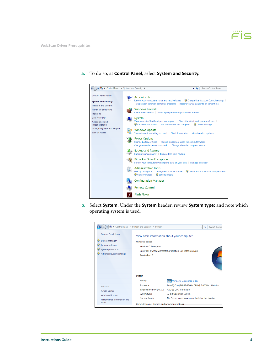

**a.** To do so, at **Control Panel**, select **System and Security**.

**b.** Select **System**. Under the **System** header, review **System type:** and note which operating system is used.